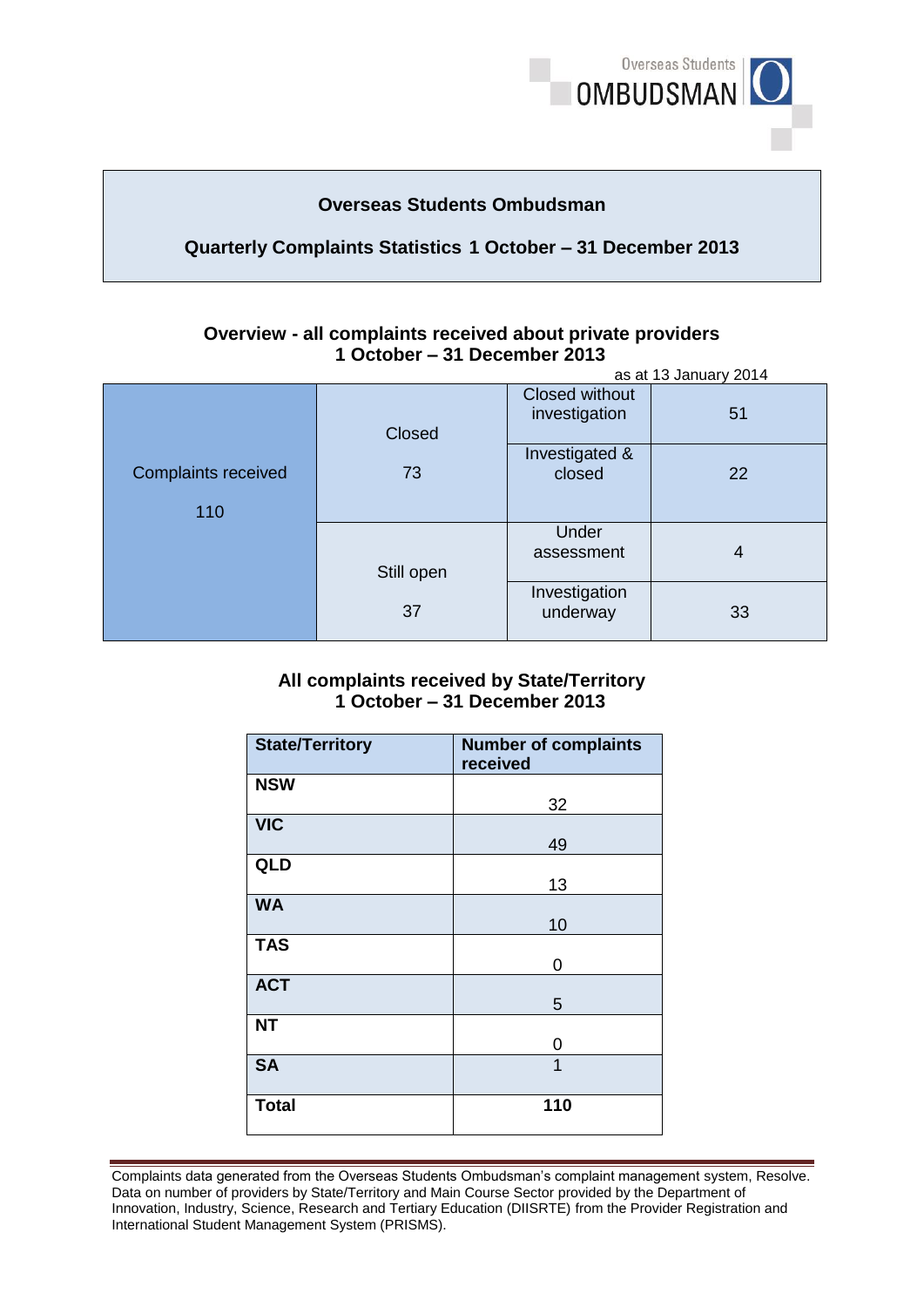

## **Overseas Students Ombudsman**

## **Quarterly Complaints Statistics 1 October – 31 December 2013**

#### **Overview - all complaints received about private providers 1 October – 31 December 2013**  as at 13 January 2014

|                                   | as at is January 2014 |                                        |    |
|-----------------------------------|-----------------------|----------------------------------------|----|
|                                   | Closed                | <b>Closed without</b><br>investigation | 51 |
| <b>Complaints received</b><br>110 | 73                    | Investigated &<br>closed               | 22 |
|                                   | Still open            | Under<br>assessment                    | 4  |
|                                   | 37                    | Investigation<br>underway              | 33 |

### **All complaints received by State/Territory 1 October – 31 December 2013**

| <b>State/Territory</b> | <b>Number of complaints</b><br>received |
|------------------------|-----------------------------------------|
| <b>NSW</b>             | 32                                      |
| <b>VIC</b>             | 49                                      |
| QLD                    | 13                                      |
| <b>WA</b>              | 10                                      |
| <b>TAS</b>             | 0                                       |
| <b>ACT</b>             | 5                                       |
| <b>NT</b>              | 0                                       |
| <b>SA</b>              | $\overline{1}$                          |
| <b>Total</b>           | 110                                     |

Complaints data generated from the Overseas Students Ombudsman's complaint management system, Resolve. Data on number of providers by State/Territory and Main Course Sector provided by the Department of Innovation, Industry, Science, Research and Tertiary Education (DIISRTE) from the Provider Registration and International Student Management System (PRISMS).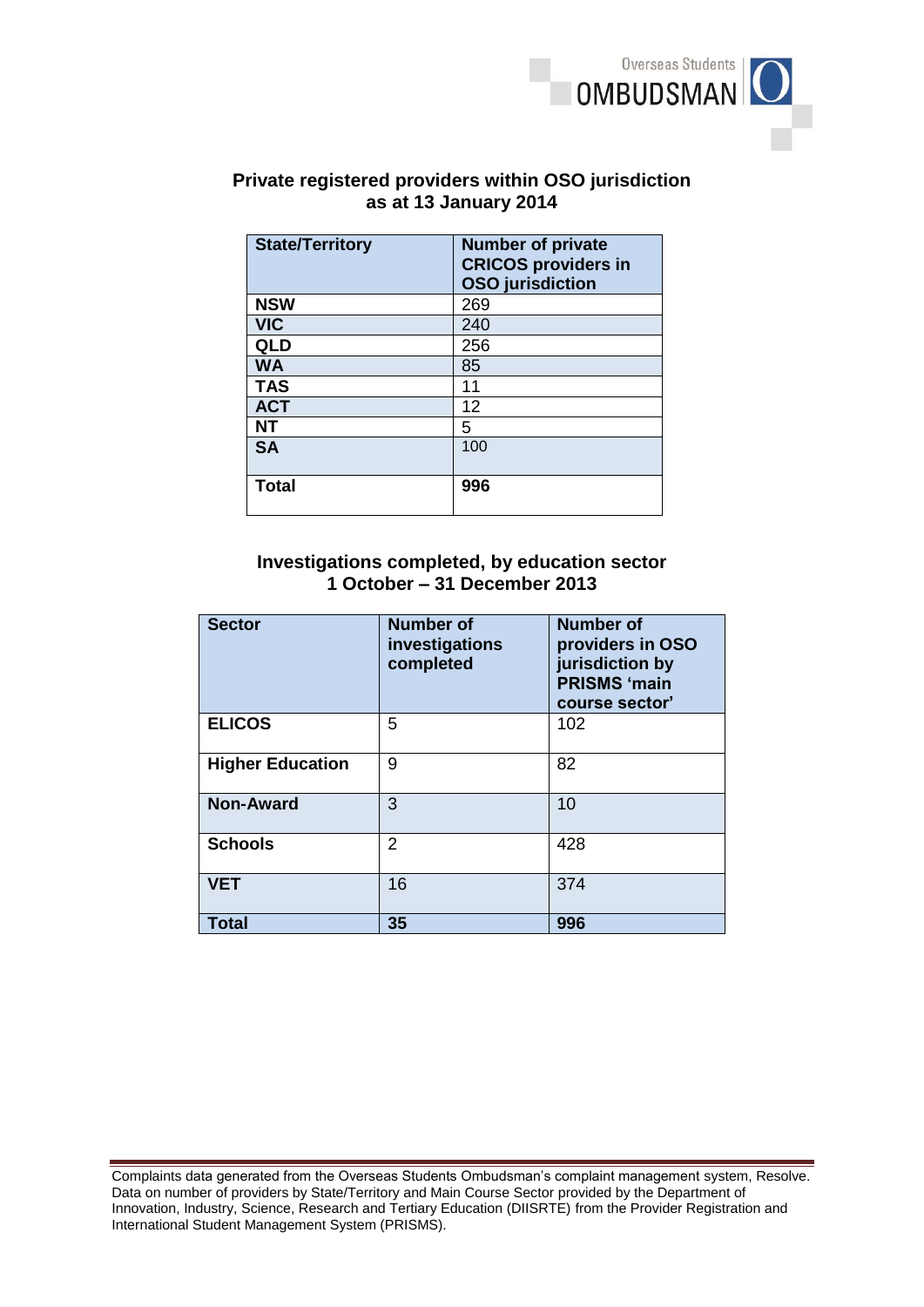

# **Private registered providers within OSO jurisdiction as at 13 January 2014**

| <b>State/Territory</b> | <b>Number of private</b><br><b>CRICOS providers in</b><br><b>OSO</b> jurisdiction |
|------------------------|-----------------------------------------------------------------------------------|
| <b>NSW</b>             | 269                                                                               |
| <b>VIC</b>             | 240                                                                               |
| QLD                    | 256                                                                               |
| <b>WA</b>              | 85                                                                                |
| <b>TAS</b>             | 11                                                                                |
| <b>ACT</b>             | 12                                                                                |
| <b>NT</b>              | 5                                                                                 |
| <b>SA</b>              | 100                                                                               |
| <b>Total</b>           | 996                                                                               |

#### **Investigations completed, by education sector 1 October – 31 December 2013**

| <b>Sector</b>           | <b>Number of</b><br>investigations<br>completed | <b>Number of</b><br>providers in OSO<br>jurisdiction by<br><b>PRISMS 'main</b><br>course sector' |
|-------------------------|-------------------------------------------------|--------------------------------------------------------------------------------------------------|
| <b>ELICOS</b>           | 5                                               | 102                                                                                              |
| <b>Higher Education</b> | 9                                               | 82                                                                                               |
| <b>Non-Award</b>        | 3                                               | 10                                                                                               |
| <b>Schools</b>          | $\overline{2}$                                  | 428                                                                                              |
| <b>VET</b>              | 16                                              | 374                                                                                              |
| <b>Total</b>            | 35                                              | 996                                                                                              |

Complaints data generated from the Overseas Students Ombudsman's complaint management system, Resolve. Data on number of providers by State/Territory and Main Course Sector provided by the Department of Innovation, Industry, Science, Research and Tertiary Education (DIISRTE) from the Provider Registration and International Student Management System (PRISMS).